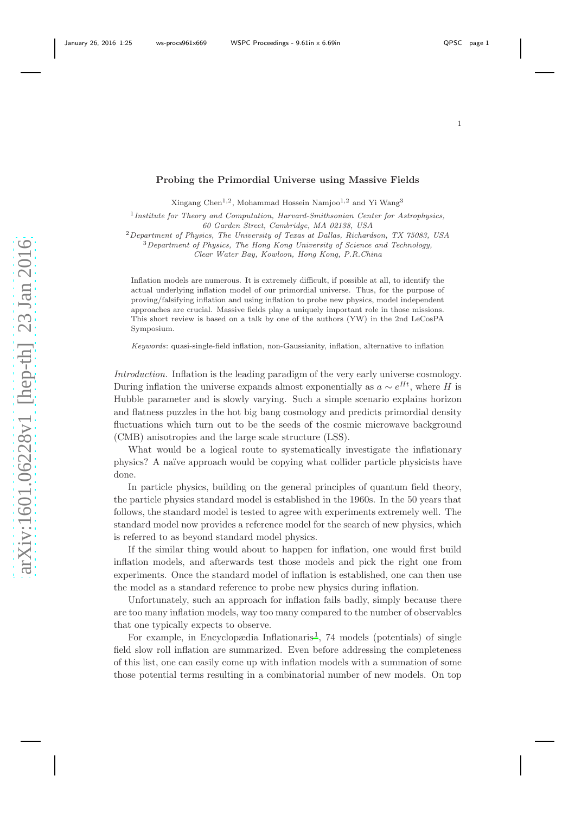## 1

## Probing the Primordial Universe using Massive Fields

Xingang Chen<sup>1,2</sup>, Mohammad Hossein Namjoo<sup>1,2</sup> and Yi Wang<sup>3</sup>

<sup>1</sup> Institute for Theory and Computation, Harvard-Smithsonian Center for Astrophysics, 60 Garden Street, Cambridge, MA 02138, USA

<sup>2</sup>Department of Physics, The University of Texas at Dallas, Richardson, TX 75083, USA

 $3$  Department of Physics, The Hong Kong University of Science and Technology,

Clear Water Bay, Kowloon, Hong Kong, P.R.China

Inflation models are numerous. It is extremely difficult, if possible at all, to identify the actual underlying inflation model of our primordial universe. Thus, for the purpose of proving/falsifying inflation and using inflation to probe new physics, model independent approaches are crucial. Massive fields play a uniquely important role in those missions. This short review is based on a talk by one of the authors (YW) in the 2nd LeCosPA Symposium.

Keywords: quasi-single-field inflation, non-Gaussianity, inflation, alternative to inflation

Introduction. Inflation is the leading paradigm of the very early universe cosmology. During inflation the universe expands almost exponentially as  $a \sim e^{Ht}$ , where H is Hubble parameter and is slowly varying. Such a simple scenario explains horizon and flatness puzzles in the hot big bang cosmology and predicts primordial density fluctuations which turn out to be the seeds of the cosmic microwave background (CMB) anisotropies and the large scale structure (LSS).

What would be a logical route to systematically investigate the inflationary physics? A naïve approach would be copying what collider particle physicists have done.

In particle physics, building on the general principles of quantum field theory, the particle physics standard model is established in the 1960s. In the 50 years that follows, the standard model is tested to agree with experiments extremely well. The standard model now provides a reference model for the search of new physics, which is referred to as beyond standard model physics.

If the similar thing would about to happen for inflation, one would first build inflation models, and afterwards test those models and pick the right one from experiments. Once the standard model of inflation is established, one can then use the model as a standard reference to probe new physics during inflation.

Unfortunately, such an approach for inflation fails badly, simply because there are too many inflation models, way too many compared to the number of observables that one typically expects to observe.

For example, in Encyclopædia Inflationaris<sup>[1](#page-5-0)</sup>, 74 models (potentials) of single field slow roll inflation are summarized. Even before addressing the completeness of this list, one can easily come up with inflation models with a summation of some those potential terms resulting in a combinatorial number of new models. On top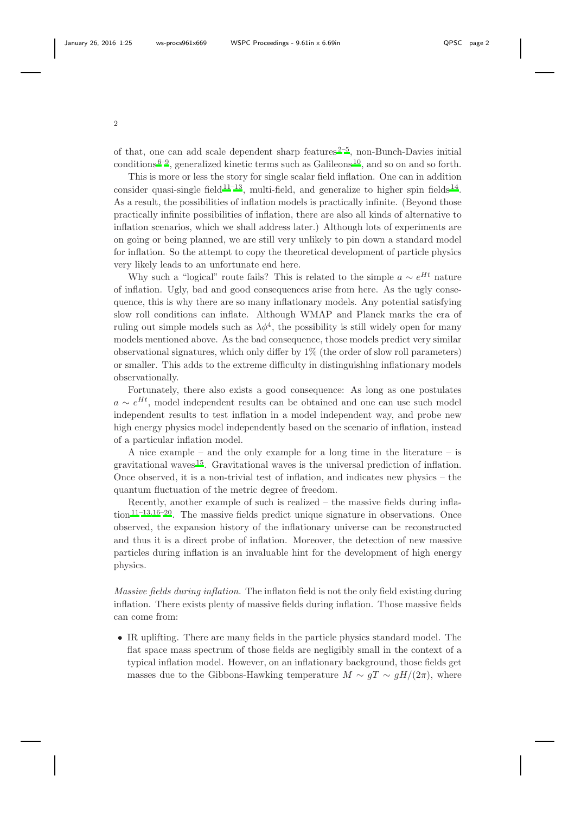of that, one can add scale dependent sharp features  $2-5$  $2-5$ , non-Bunch-Davies initial conditions  $6-9$  $6-9$ , generalized kinetic terms such as Galileons  $10$ , and so on and so forth.

This is more or less the story for single scalar field inflation. One can in addition consider quasi-single field  $11-13$  $11-13$ , multi-field, and generalize to higher spin fields  $14$ . As a result, the possibilities of inflation models is practically infinite. (Beyond those practically infinite possibilities of inflation, there are also all kinds of alternative to inflation scenarios, which we shall address later.) Although lots of experiments are on going or being planned, we are still very unlikely to pin down a standard model for inflation. So the attempt to copy the theoretical development of particle physics very likely leads to an unfortunate end here.

Why such a "logical" route fails? This is related to the simple  $a \sim e^{Ht}$  nature of inflation. Ugly, bad and good consequences arise from here. As the ugly consequence, this is why there are so many inflationary models. Any potential satisfying slow roll conditions can inflate. Although WMAP and Planck marks the era of ruling out simple models such as  $\lambda \phi^4$ , the possibility is still widely open for many models mentioned above. As the bad consequence, those models predict very similar observational signatures, which only differ by 1% (the order of slow roll parameters) or smaller. This adds to the extreme difficulty in distinguishing inflationary models observationally.

Fortunately, there also exists a good consequence: As long as one postulates  $a \sim e^{Ht}$ , model independent results can be obtained and one can use such model independent results to test inflation in a model independent way, and probe new high energy physics model independently based on the scenario of inflation, instead of a particular inflation model.

A nice example – and the only example for a long time in the literature – is gravitational waves [15](#page-6-5). Gravitational waves is the universal prediction of inflation. Once observed, it is a non-trivial test of inflation, and indicates new physics – the quantum fluctuation of the metric degree of freedom.

Recently, another example of such is realized – the massive fields during infla-tion<sup>[11](#page-6-2)[–13](#page-6-3)[,16](#page-6-6)[–20](#page-6-7)</sup>. The massive fields predict unique signature in observations. Once observed, the expansion history of the inflationary universe can be reconstructed and thus it is a direct probe of inflation. Moreover, the detection of new massive particles during inflation is an invaluable hint for the development of high energy physics.

Massive fields during inflation. The inflaton field is not the only field existing during inflation. There exists plenty of massive fields during inflation. Those massive fields can come from:

• IR uplifting. There are many fields in the particle physics standard model. The flat space mass spectrum of those fields are negligibly small in the context of a typical inflation model. However, on an inflationary background, those fields get masses due to the Gibbons-Hawking temperature  $M \sim qT \sim qH/(2\pi)$ , where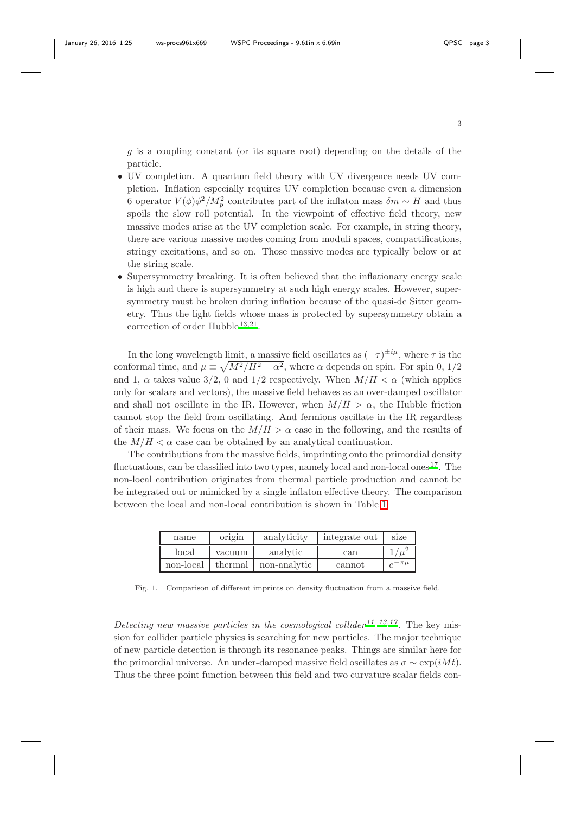g is a coupling constant (or its square root) depending on the details of the particle.

- UV completion. A quantum field theory with UV divergence needs UV completion. Inflation especially requires UV completion because even a dimension 6 operator  $V(\phi)\phi^2/M_p^2$  contributes part of the inflaton mass  $\delta m \sim H$  and thus spoils the slow roll potential. In the viewpoint of effective field theory, new massive modes arise at the UV completion scale. For example, in string theory, there are various massive modes coming from moduli spaces, compactifications, stringy excitations, and so on. Those massive modes are typically below or at the string scale.
- Supersymmetry breaking. It is often believed that the inflationary energy scale is high and there is supersymmetry at such high energy scales. However, supersymmetry must be broken during inflation because of the quasi-de Sitter geometry. Thus the light fields whose mass is protected by supersymmetry obtain a correction of order Hubble<sup>[13](#page-6-3)[,21](#page-6-8)</sup>.

In the long wavelength limit, a massive field oscillates as  $(-\tau)^{\pm i\mu}$ , where  $\tau$  is the conformal time, and  $\mu \equiv \sqrt{M^2/H^2 - \alpha^2}$ , where  $\alpha$  depends on spin. For spin 0, 1/2 and 1,  $\alpha$  takes value 3/2, 0 and 1/2 respectively. When  $M/H < \alpha$  (which applies only for scalars and vectors), the massive field behaves as an over-damped oscillator and shall not oscillate in the IR. However, when  $M/H > \alpha$ , the Hubble friction cannot stop the field from oscillating. And fermions oscillate in the IR regardless of their mass. We focus on the  $M/H > \alpha$  case in the following, and the results of the  $M/H < \alpha$  case can be obtained by an analytical continuation.

The contributions from the massive fields, imprinting onto the primordial density fluctuations, can be classified into two types, namely local and non-local ones  $^{17}$  $^{17}$  $^{17}$ . The non-local contribution originates from thermal particle production and cannot be be integrated out or mimicked by a single inflaton effective theory. The comparison between the local and non-local contribution is shown in Table [1.](#page-2-0)

| name      | origin  | analyticity  | integrate out | size          |
|-----------|---------|--------------|---------------|---------------|
| local     | vacuum  | analytic     | can           |               |
| non-local | thermal | non-analytic | cannot        | $e^{-\pi\mu}$ |

<span id="page-2-0"></span>Fig. 1. Comparison of different imprints on density fluctuation from a massive field.

Detecting new massive particles in the cosmological collider<sup>[11](#page-6-2)-13[,17](#page-6-9)</sup>. The key mission for collider particle physics is searching for new particles. The major technique of new particle detection is through its resonance peaks. Things are similar here for the primordial universe. An under-damped massive field oscillates as  $\sigma \sim \exp(iMt)$ . Thus the three point function between this field and two curvature scalar fields con-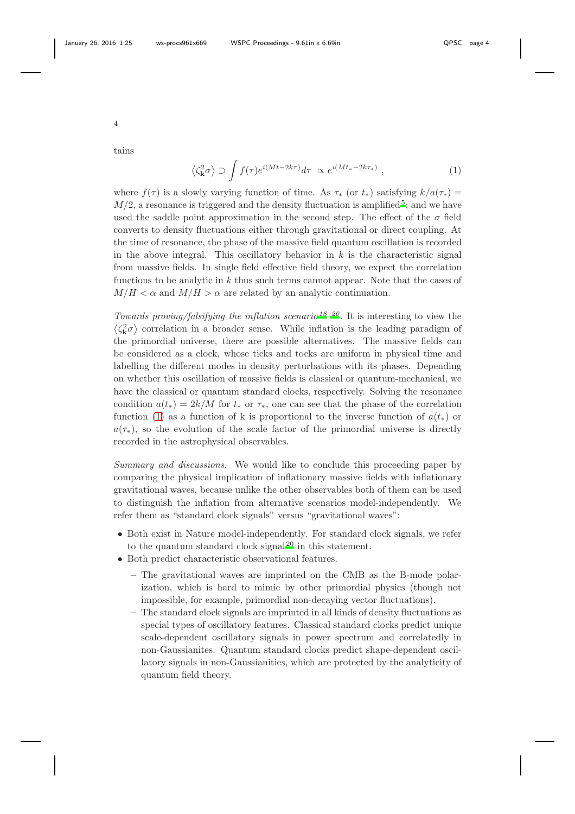4

tains

<span id="page-3-0"></span> $\langle \zeta_{\mathbf{k}}^2 \sigma \rangle \supset \int f(\tau) e^{i(Mt-2k\tau)} d\tau \propto e^{i(Mt_*-2k\tau_*)}$  $(1)$ 

where  $f(\tau)$  is a slowly varying function of time. As  $\tau_*$  (or  $t_*$ ) satisfying  $k/a(\tau_*)$  =  $M/2$ , a resonance is triggered and the density fluctuation is amplified<sup>[5](#page-5-2)</sup>; and we have used the saddle point approximation in the second step. The effect of the  $\sigma$  field converts to density fluctuations either through gravitational or direct coupling. At the time of resonance, the phase of the massive field quantum oscillation is recorded in the above integral. This oscillatory behavior in  $k$  is the characteristic signal from massive fields. In single field effective field theory, we expect the correlation functions to be analytic in  $k$  thus such terms cannot appear. Note that the cases of  $M/H < \alpha$  and  $M/H > \alpha$  are related by an analytic continuation.

Towards proving/falsifying the inflation scenario<sup>[18](#page-6-10)-20</sup>. It is interesting to view the  $\langle \zeta_{\mathbf{k}}^2 \sigma \rangle$  correlation in a broader sense. While inflation is the leading paradigm of the primordial universe, there are possible alternatives. The massive fields can be considered as a clock, whose ticks and tocks are uniform in physical time and labelling the different modes in density perturbations with its phases. Depending on whether this oscillation of massive fields is classical or quantum-mechanical, we have the classical or quantum standard clocks, respectively. Solving the resonance condition  $a(t_*) = 2k/M$  for  $t_*$  or  $\tau_*$ , one can see that the phase of the correlation function [\(1\)](#page-3-0) as a function of k is proportional to the inverse function of  $a(t_*)$  or  $a(\tau_*)$ , so the evolution of the scale factor of the primordial universe is directly recorded in the astrophysical observables.

Summary and discussions. We would like to conclude this proceeding paper by comparing the physical implication of inflationary massive fields with inflationary gravitational waves, because unlike the other observables both of them can be used to distinguish the inflation from alternative scenarios model-independently. We refer them as "standard clock signals" versus "gravitational waves":

- Both exist in Nature model-independently. For standard clock signals, we refer to the quantum standard clock signal<sup>[20](#page-6-7)</sup> in this statement.
- Both predict characteristic observational features.
	- The gravitational waves are imprinted on the CMB as the B-mode polarization, which is hard to mimic by other primordial physics (though not impossible, for example, primordial non-decaying vector fluctuations).
	- The standard clock signals are imprinted in all kinds of density fluctuations as special types of oscillatory features. Classical standard clocks predict unique scale-dependent oscillatory signals in power spectrum and correlatedly in non-Gaussianites. Quantum standard clocks predict shape-dependent oscillatory signals in non-Gaussianities, which are protected by the analyticity of quantum field theory.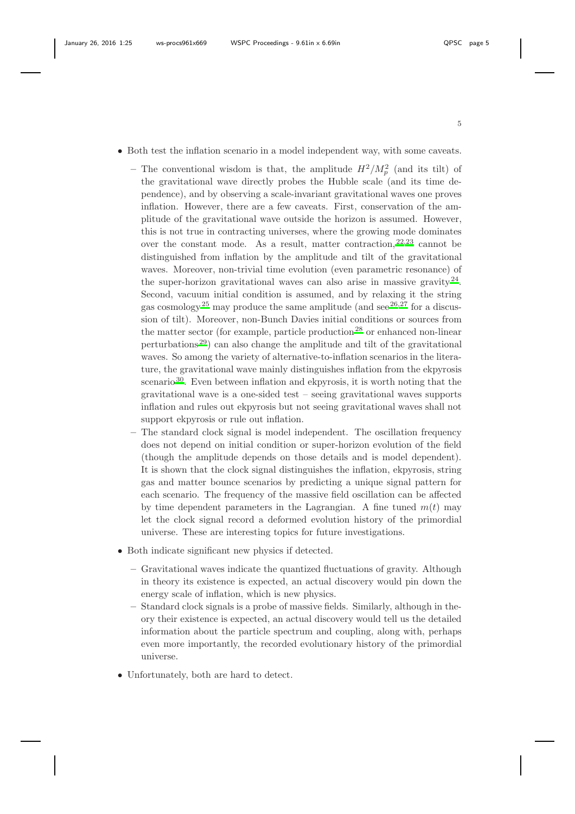- Both test the inflation scenario in a model independent way, with some caveats.
	- The conventional wisdom is that, the amplitude  $H^2/M_p^2$  (and its tilt) of the gravitational wave directly probes the Hubble scale (and its time dependence), and by observing a scale-invariant gravitational waves one proves inflation. However, there are a few caveats. First, conservation of the amplitude of the gravitational wave outside the horizon is assumed. However, this is not true in contracting universes, where the growing mode dominates over the constant mode. As a result, matter contraction,  $22,23$  $22,23$  cannot be distinguished from inflation by the amplitude and tilt of the gravitational waves. Moreover, non-trivial time evolution (even parametric resonance) of the super-horizon gravitational waves can also arise in massive gravity  $24$ . Second, vacuum initial condition is assumed, and by relaxing it the string gas cosmology<sup>[25](#page-6-14)</sup> may produce the same amplitude (and see<sup>[26](#page-6-15)[,27](#page-6-16)</sup> for a discussion of tilt). Moreover, non-Bunch Davies initial conditions or sources from the matter sector (for example, particle production<sup>[28](#page-6-17)</sup> or enhanced non-linear perturbations<sup>[29](#page-6-18)</sup>) can also change the amplitude and tilt of the gravitational waves. So among the variety of alternative-to-inflation scenarios in the literature, the gravitational wave mainly distinguishes inflation from the ekpyrosis scenario<sup>[30](#page-6-19)</sup>. Even between inflation and ekpyrosis, it is worth noting that the gravitational wave is a one-sided test – seeing gravitational waves supports inflation and rules out ekpyrosis but not seeing gravitational waves shall not support ekpyrosis or rule out inflation.
	- The standard clock signal is model independent. The oscillation frequency does not depend on initial condition or super-horizon evolution of the field (though the amplitude depends on those details and is model dependent). It is shown that the clock signal distinguishes the inflation, ekpyrosis, string gas and matter bounce scenarios by predicting a unique signal pattern for each scenario. The frequency of the massive field oscillation can be affected by time dependent parameters in the Lagrangian. A fine tuned  $m(t)$  may let the clock signal record a deformed evolution history of the primordial universe. These are interesting topics for future investigations.
- Both indicate significant new physics if detected.
	- Gravitational waves indicate the quantized fluctuations of gravity. Although in theory its existence is expected, an actual discovery would pin down the energy scale of inflation, which is new physics.
	- Standard clock signals is a probe of massive fields. Similarly, although in theory their existence is expected, an actual discovery would tell us the detailed information about the particle spectrum and coupling, along with, perhaps even more importantly, the recorded evolutionary history of the primordial universe.
- Unfortunately, both are hard to detect.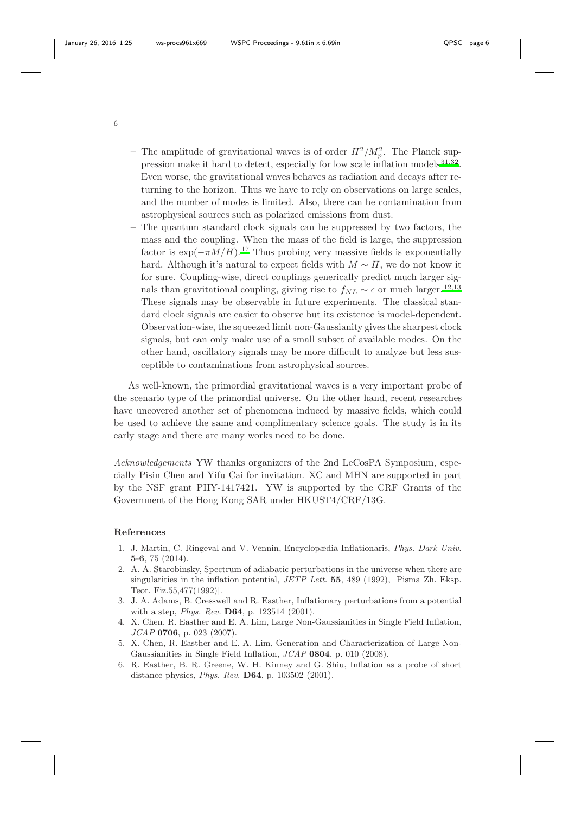- The amplitude of gravitational waves is of order  $H^2/M_p^2$ . The Planck sup-pression make it hard to detect, especially for low scale inflation models<sup>[31](#page-6-20)[,32](#page-6-21)</sup>. Even worse, the gravitational waves behaves as radiation and decays after returning to the horizon. Thus we have to rely on observations on large scales, and the number of modes is limited. Also, there can be contamination from astrophysical sources such as polarized emissions from dust.
- The quantum standard clock signals can be suppressed by two factors, the mass and the coupling. When the mass of the field is large, the suppression factor is  $\exp(-\pi M/H)$ .<sup>[17](#page-6-9)</sup> Thus probing very massive fields is exponentially hard. Although it's natural to expect fields with  $M \sim H$ , we do not know it for sure. Coupling-wise, direct couplings generically predict much larger signals than gravitational coupling, giving rise to  $f_{NL} \sim \epsilon$  or much larger.<sup>[12](#page-6-22)[,13](#page-6-3)</sup> These signals may be observable in future experiments. The classical standard clock signals are easier to observe but its existence is model-dependent. Observation-wise, the squeezed limit non-Gaussianity gives the sharpest clock signals, but can only make use of a small subset of available modes. On the other hand, oscillatory signals may be more difficult to analyze but less susceptible to contaminations from astrophysical sources.

As well-known, the primordial gravitational waves is a very important probe of the scenario type of the primordial universe. On the other hand, recent researches have uncovered another set of phenomena induced by massive fields, which could be used to achieve the same and complimentary science goals. The study is in its early stage and there are many works need to be done.

Acknowledgements YW thanks organizers of the 2nd LeCosPA Symposium, especially Pisin Chen and Yifu Cai for invitation. XC and MHN are supported in part by the NSF grant PHY-1417421. YW is supported by the CRF Grants of the Government of the Hong Kong SAR under HKUST4/CRF/13G.

## References

- <span id="page-5-0"></span>1. J. Martin, C. Ringeval and V. Vennin, Encyclopædia Inflationaris, Phys. Dark Univ. 5-6, 75 (2014).
- <span id="page-5-1"></span>2. A. A. Starobinsky, Spectrum of adiabatic perturbations in the universe when there are singularities in the inflation potential,  $JETP$  Lett. **55**, 489 (1992), [Pisma Zh. Eksp. Teor. Fiz.55,477(1992)].
- 3. J. A. Adams, B. Cresswell and R. Easther, Inflationary perturbations from a potential with a step, *Phys. Rev.* **D64**, p. 123514 (2001).
- 4. X. Chen, R. Easther and E. A. Lim, Large Non-Gaussianities in Single Field Inflation,  $JCAP$  0706, p. 023 (2007).
- <span id="page-5-2"></span>5. X. Chen, R. Easther and E. A. Lim, Generation and Characterization of Large Non-Gaussianities in Single Field Inflation, JCAP 0804, p. 010 (2008).
- <span id="page-5-3"></span>6. R. Easther, B. R. Greene, W. H. Kinney and G. Shiu, Inflation as a probe of short distance physics, Phys. Rev. D64, p. 103502 (2001).